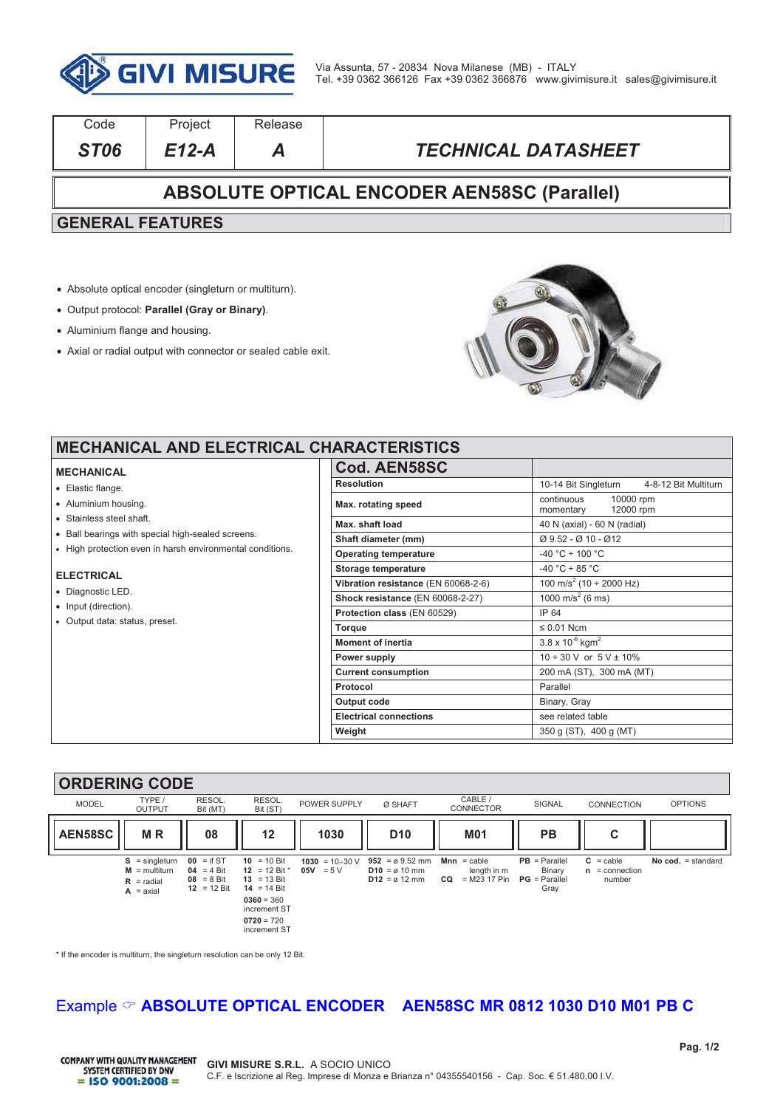

| Code                                               | Project | Release |                            |  |  |
|----------------------------------------------------|---------|---------|----------------------------|--|--|
| ST <sub>06</sub>                                   | $E12-A$ | A       | <b>TECHNICAL DATASHEET</b> |  |  |
| <b>ABSOLUTE OPTICAL ENCODER AEN58SC (Parallel)</b> |         |         |                            |  |  |
| <b>GENERAL FEATURES</b>                            |         |         |                            |  |  |
|                                                    |         |         |                            |  |  |
|                                                    |         |         |                            |  |  |

- ! Absolute optical encoder (singleturn or multiturn).
- ! Output protocol: **Parallel (Gray or Binary)**.
- Aluminium flange and housing.
- ! Axial or radial output with connector or sealed cable exit.



# **MECHANICAL AND ELECTRICAL CHARACTERISTICS**

#### **MECHANICAL**

- . Elastic flange
- . Aluminium housing.
- . Stainless steel shaft.
- . Ball bearings with special high-sealed screens.
- . High protection even in harsh environmental conditions.

#### **ELECTRICAL**

- · Diagnostic LED.
- Input (direction).
- ! Output data: status, preset.

| 18118911111911109                   |                                                          |  |  |  |
|-------------------------------------|----------------------------------------------------------|--|--|--|
| <b>Cod. AEN58SC</b>                 |                                                          |  |  |  |
| <b>Resolution</b>                   | 10-14 Bit Singleturn<br>4-8-12 Bit Multiturn             |  |  |  |
| Max. rotating speed                 | continuous<br>10000 rpm<br>momentary 12000 rpm           |  |  |  |
| Max. shaft load                     | 40 N (axial) - 60 N (radial)                             |  |  |  |
| Shaft diameter (mm)                 | $\varnothing$ 9.52 - $\varnothing$ 10 - $\varnothing$ 12 |  |  |  |
| <b>Operating temperature</b>        | $-40 °C \div 100 °C$                                     |  |  |  |
| Storage temperature                 | $-40 °C \div 85 °C$                                      |  |  |  |
| Vibration resistance (EN 60068-2-6) | $\frac{1}{100}$ m/s <sup>2</sup> (10 ÷ 2000 Hz)          |  |  |  |
| Shock resistance (EN 60068-2-27)    | 1000 m/s <sup>2</sup> (6 ms)                             |  |  |  |
| Protection class (EN 60529)         | IP 64                                                    |  |  |  |
| <b>Torque</b>                       | $\leq 0.01$ Ncm                                          |  |  |  |
| <b>Moment of inertia</b>            | $3.8 \times 10^{-6}$ kgm <sup>2</sup>                    |  |  |  |
| Power supply                        | $10 \div 30$ V or $5$ V $\pm$ 10%                        |  |  |  |
| <b>Current consumption</b>          | 200 mA (ST), 300 mA (MT)                                 |  |  |  |
| Protocol                            | Parallel                                                 |  |  |  |
| Output code                         | Binary, Gray                                             |  |  |  |
| <b>Electrical connections</b>       | see related table                                        |  |  |  |
| Weight                              | 350 g (ST), 400 g (MT)                                   |  |  |  |

#### **ORDERING CODE**  MODEL TYPE / OUTPUT **RESOL** Bit (MT) RESOL<br>Bit (ST) BOWER SUPPLY **Ø SHAFT** CABLE / CONNECTOR SIGNAL CONNECTION OPTIONS AEN58SC || M R || 08 || 12 || 1030 || D10 || M01 || PB || C **S** = singleturn  $M =$  multiturn  $R =$  radial<br> $A =$  axial **A** = axial  $00 = if ST$ **04** = 4 Bit **08** = 8 Bit **12** = 12 Bit  $10 = 10$  Bit 12 = 12 Bit  $*$ **13** = 13 Bit **14** = 14 Bit **0360** = 360 increment ST **0720** = 720 increment ST **1030** =  $10 \div 30$  V **05V** =  $5 \text{ V}$ **952** =  $\emptyset$  9.52 mm **D10** = ø 10 mm **D12** = ø 12 mm **Mnn** = cable length in m **CQ** = M23 17 Pin **PB** = Parallel Binary **PG** = Parallel Gray  $C =$ cable **n** = connection number **No cod.** = standard

\* If the encoder is multiturn, the singleturn resolution can be only 12 Bit.

## Example  $\heartsuit$  **ABSOLUTE OPTICAL ENCODER AEN58SC MR 0812 1030 D10 M01 PB C**